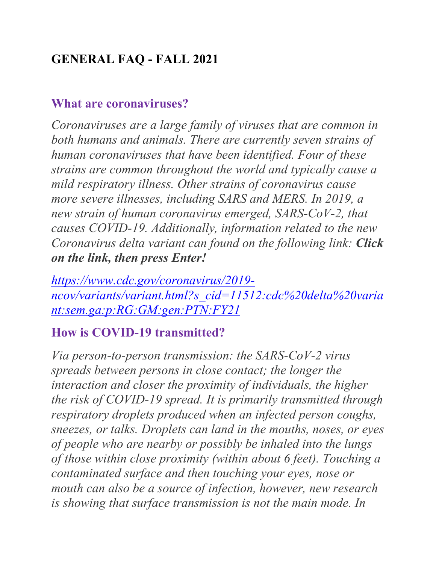# **GENERAL FAQ - FALL 2021**

#### **What are coronaviruses?**

*Coronaviruses are a large family of viruses that are common in both humans and animals. There are currently seven strains of human coronaviruses that have been identified. Four of these strains are common throughout the world and typically cause a mild respiratory illness. Other strains of coronavirus cause more severe illnesses, including SARS and MERS. In 2019, a new strain of human coronavirus emerged, SARS-CoV-2, that causes COVID-19. Additionally, information related to the new Coronavirus delta variant can found on the following link: Click on the link, then press Enter!*

*[https://www.cdc.gov/coronavirus/2019](https://www.cdc.gov/coronavirus/2019-ncov/variants/variant.html?s_cid=11512:cdc%20delta%20variant:sem.ga:p:RG:GM:gen:PTN:FY21) [ncov/variants/variant.html?s\\_cid=11512:cdc%20delta%20varia](https://www.cdc.gov/coronavirus/2019-ncov/variants/variant.html?s_cid=11512:cdc%20delta%20variant:sem.ga:p:RG:GM:gen:PTN:FY21) [nt:sem.ga:p:RG:GM:gen:PTN:FY21](https://www.cdc.gov/coronavirus/2019-ncov/variants/variant.html?s_cid=11512:cdc%20delta%20variant:sem.ga:p:RG:GM:gen:PTN:FY21)*

### **How is COVID-19 transmitted?**

*Via person-to-person transmission: the SARS-CoV-2 virus spreads between persons in close contact; the longer the interaction and closer the proximity of individuals, the higher the risk of COVID-19 spread. It is primarily transmitted through respiratory droplets produced when an infected person coughs, sneezes, or talks. Droplets can land in the mouths, noses, or eyes of people who are nearby or possibly be inhaled into the lungs of those within close proximity (within about 6 feet). Touching a contaminated surface and then touching your eyes, nose or mouth can also be a source of infection, however, new research is showing that surface transmission is not the main mode. In*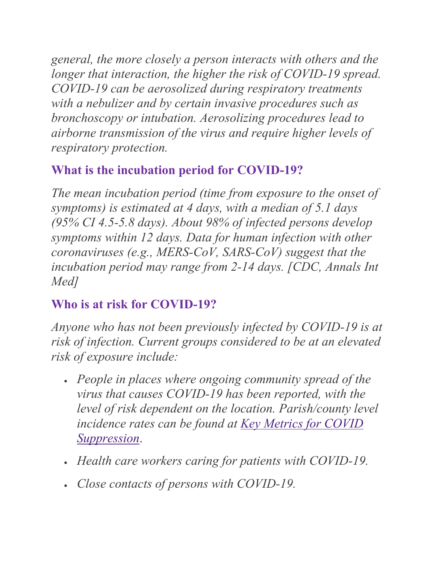*general, the more closely a person interacts with others and the longer that interaction, the higher the risk of COVID-19 spread. COVID-19 can be aerosolized during respiratory treatments with a nebulizer and by certain invasive procedures such as bronchoscopy or intubation. Aerosolizing procedures lead to airborne transmission of the virus and require higher levels of respiratory protection.*

# **What is the incubation period for COVID-19?**

*The mean incubation period (time from exposure to the onset of symptoms) is estimated at 4 days, with a median of 5.1 days (95% CI 4.5-5.8 days). About 98% of infected persons develop symptoms within 12 days. Data for human infection with other coronaviruses (e.g., MERS-CoV, SARS-CoV) suggest that the incubation period may range from 2-14 days. [CDC, Annals Int Med]*

### **Who is at risk for COVID-19?**

*Anyone who has not been previously infected by COVID-19 is at risk of infection. Current groups considered to be at an elevated risk of exposure include:*

- *People in places where ongoing community spread of the virus that causes COVID-19 has been reported, with the level of risk dependent on the location. Parish/county level incidence rates can be found at [Key Metrics for COVID](https://globalepidemics.org/key-metrics-for-covid-suppression/)  [Suppression](https://globalepidemics.org/key-metrics-for-covid-suppression/)*.
- *Health care workers caring for patients with COVID-19.*
- *Close contacts of persons with COVID-19.*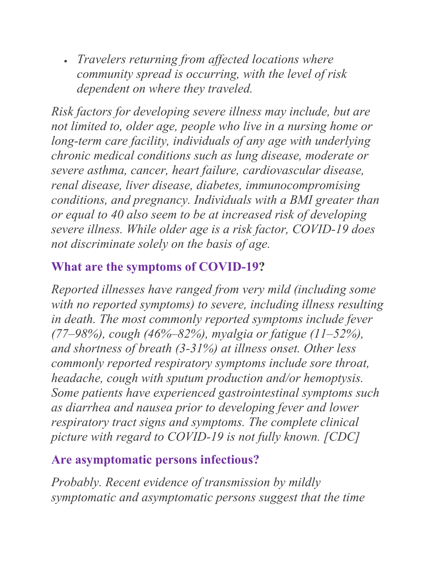• *Travelers returning from affected locations where community spread is occurring, with the level of risk dependent on where they traveled.*

*Risk factors for developing severe illness may include, but are not limited to, older age, people who live in a nursing home or long-term care facility, individuals of any age with underlying chronic medical conditions such as lung disease, moderate or severe asthma, cancer, heart failure, cardiovascular disease, renal disease, liver disease, diabetes, immunocompromising conditions, and pregnancy. Individuals with a BMI greater than or equal to 40 also seem to be at increased risk of developing severe illness. While older age is a risk factor, COVID-19 does not discriminate solely on the basis of age.*

### **What are the symptoms of COVID-19?**

*Reported illnesses have ranged from very mild (including some with no reported symptoms) to severe, including illness resulting in death. The most commonly reported symptoms include fever (77–98%), cough (46%–82%), myalgia or fatigue (11–52%), and shortness of breath (3-31%) at illness onset. Other less commonly reported respiratory symptoms include sore throat, headache, cough with sputum production and/or hemoptysis. Some patients have experienced gastrointestinal symptoms such as diarrhea and nausea prior to developing fever and lower respiratory tract signs and symptoms. The complete clinical picture with regard to COVID-19 is not fully known. [CDC]*

### **Are asymptomatic persons infectious?**

*Probably. Recent evidence of transmission by mildly symptomatic and asymptomatic persons suggest that the time*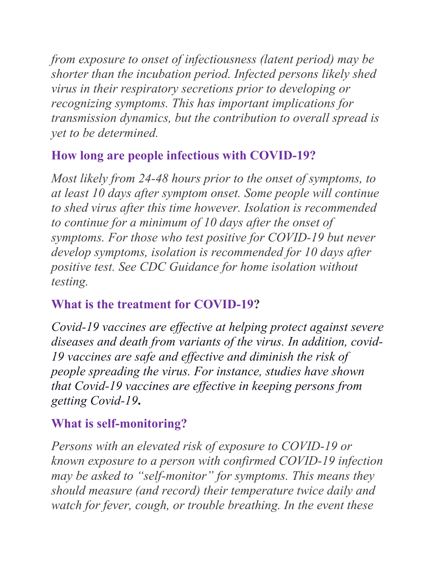*from exposure to onset of infectiousness (latent period) may be shorter than the incubation period. Infected persons likely shed virus in their respiratory secretions prior to developing or recognizing symptoms. This has important implications for transmission dynamics, but the contribution to overall spread is yet to be determined.*

### **How long are people infectious with COVID-19?**

*Most likely from 24-48 hours prior to the onset of symptoms, to at least 10 days after symptom onset. Some people will continue to shed virus after this time however. Isolation is recommended to continue for a minimum of 10 days after the onset of symptoms. For those who test positive for COVID-19 but never develop symptoms, isolation is recommended for 10 days after positive test. See CDC Guidance for home isolation without testing.*

### **What is the treatment for COVID-19?**

*Covid-19 vaccines are effective at helping protect against severe diseases and death from variants of the virus. In addition, covid-19 vaccines are safe and effective and diminish the risk of people spreading the virus. For instance, studies have shown that Covid-19 vaccines are effective in keeping persons from getting Covid-19***.**

### **What is self-monitoring?**

*Persons with an elevated risk of exposure to COVID-19 or known exposure to a person with confirmed COVID-19 infection may be asked to "self-monitor" for symptoms. This means they should measure (and record) their temperature twice daily and watch for fever, cough, or trouble breathing. In the event these*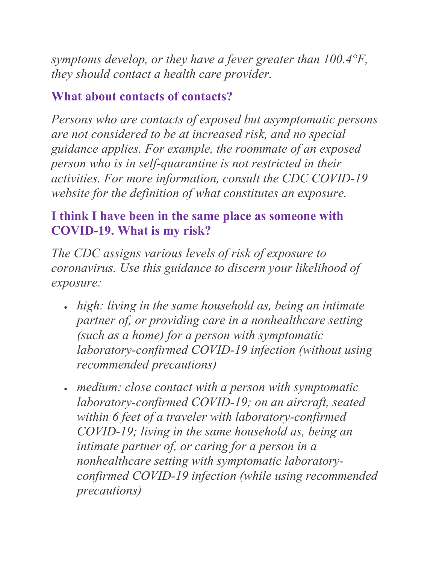*symptoms develop, or they have a fever greater than 100.4°F, they should contact a health care provider.*

#### **What about contacts of contacts?**

*Persons who are contacts of exposed but asymptomatic persons are not considered to be at increased risk, and no special guidance applies. For example, the roommate of an exposed person who is in self-quarantine is not restricted in their activities. For more information, consult the CDC COVID-19 website for the definition of what constitutes an exposure.*

### **I think I have been in the same place as someone with COVID-19. What is my risk?**

*The CDC assigns various levels of risk of exposure to coronavirus. Use this guidance to discern your likelihood of exposure:*

- *high: living in the same household as, being an intimate partner of, or providing care in a nonhealthcare setting (such as a home) for a person with symptomatic laboratory-confirmed COVID-19 infection (without using recommended precautions)*
- *medium: close contact with a person with symptomatic laboratory-confirmed COVID-19; on an aircraft, seated within 6 feet of a traveler with laboratory-confirmed COVID-19; living in the same household as, being an intimate partner of, or caring for a person in a nonhealthcare setting with symptomatic laboratoryconfirmed COVID-19 infection (while using recommended precautions)*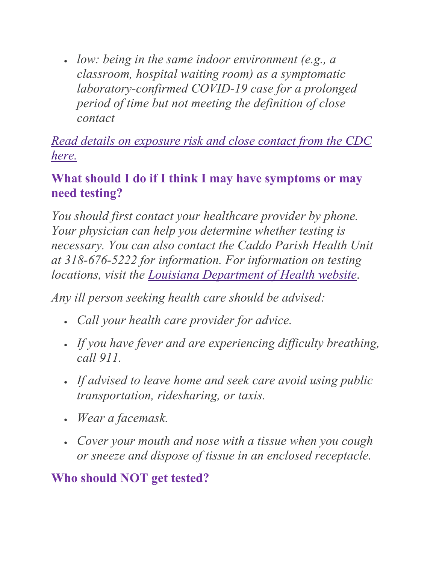• *low: being in the same indoor environment (e.g., a classroom, hospital waiting room) as a symptomatic laboratory-confirmed COVID-19 case for a prolonged period of time but not meeting the definition of close contact*

*[Read details on exposure risk and close contact from the CDC](https://www.cdc.gov/coronavirus/2019-ncov/php/public-health-recommendations.html)  [here.](https://www.cdc.gov/coronavirus/2019-ncov/php/public-health-recommendations.html)*

#### **What should I do if I think I may have symptoms or may need testing?**

*You should first contact your healthcare provider by phone. Your physician can help you determine whether testing is necessary. You can also contact the Caddo Parish Health Unit at 318-676-5222 for information. For information on testing locations, visit the [Louisiana Department of Health website](http://ldh.la.gov/)*.

*Any ill person seeking health care should be advised:*

- *Call your health care provider for advice.*
- *If you have fever and are experiencing difficulty breathing, call 911.*
- *If advised to leave home and seek care avoid using public transportation, ridesharing, or taxis.*
- *Wear a facemask.*
- *Cover your mouth and nose with a tissue when you cough or sneeze and dispose of tissue in an enclosed receptacle.*

### **Who should NOT get tested?**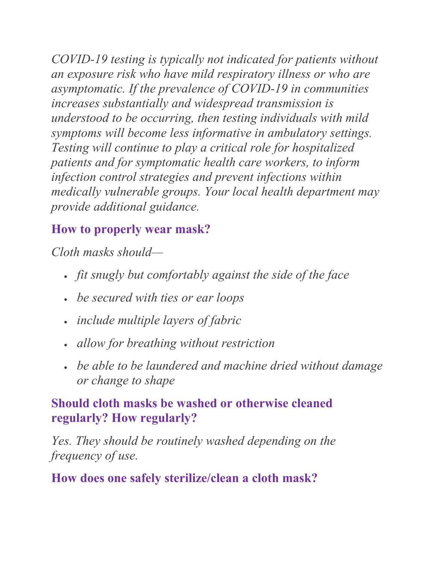*COVID-19 testing is typically not indicated for patients without an exposure risk who have mild respiratory illness or who are asymptomatic. If the prevalence of COVID-19 in communities increases substantially and widespread transmission is understood to be occurring, then testing individuals with mild symptoms will become less informative in ambulatory settings. Testing will continue to play a critical role for hospitalized patients and for symptomatic health care workers, to inform infection control strategies and prevent infections within medically vulnerable groups. Your local health department may provide additional guidance.*

## **How to properly wear mask?**

*Cloth masks should—*

- *fit snugly but comfortably against the side of the face*
- *be secured with ties or ear loops*
- *include multiple layers of fabric*
- *allow for breathing without restriction*
- *be able to be laundered and machine dried without damage or change to shape*

#### **Should cloth masks be washed or otherwise cleaned regularly? How regularly?**

*Yes. They should be routinely washed depending on the frequency of use.*

### **How does one safely sterilize/clean a cloth mask?**